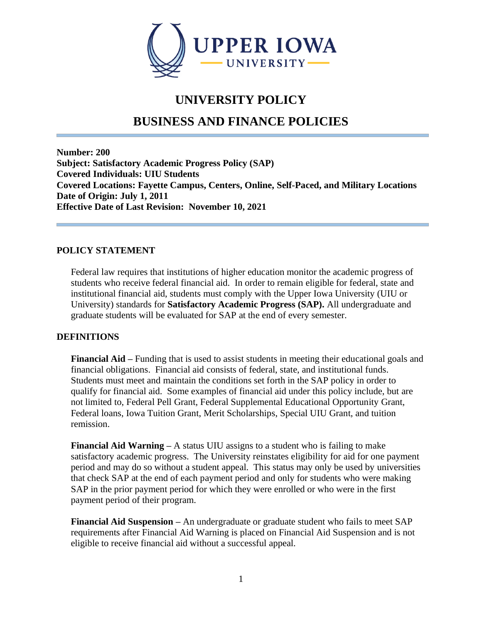

# **UNIVERSITY POLICY**

# **BUSINESS AND FINANCE POLICIES**

**Number: 200 Subject: Satisfactory Academic Progress Policy (SAP) Covered Individuals: UIU Students Covered Locations: Fayette Campus, Centers, Online, Self-Paced, and Military Locations Date of Origin: July 1, 2011 Effective Date of Last Revision: November 10, 2021**

#### **POLICY STATEMENT**

Federal law requires that institutions of higher education monitor the academic progress of students who receive federal financial aid. In order to remain eligible for federal, state and institutional financial aid, students must comply with the Upper Iowa University (UIU or University) standards for **Satisfactory Academic Progress (SAP).** All undergraduate and graduate students will be evaluated for SAP at the end of every semester.

## **DEFINITIONS**

**Financial Aid –** Funding that is used to assist students in meeting their educational goals and financial obligations. Financial aid consists of federal, state, and institutional funds. Students must meet and maintain the conditions set forth in the SAP policy in order to qualify for financial aid. Some examples of financial aid under this policy include, but are not limited to, Federal Pell Grant, Federal Supplemental Educational Opportunity Grant, Federal loans, Iowa Tuition Grant, Merit Scholarships, Special UIU Grant, and tuition remission.

**Financial Aid Warning –** A status UIU assigns to a student who is failing to make satisfactory academic progress. The University reinstates eligibility for aid for one payment period and may do so without a student appeal. This status may only be used by universities that check SAP at the end of each payment period and only for students who were making SAP in the prior payment period for which they were enrolled or who were in the first payment period of their program.

**Financial Aid Suspension –** An undergraduate or graduate student who fails to meet SAP requirements after Financial Aid Warning is placed on Financial Aid Suspension and is not eligible to receive financial aid without a successful appeal.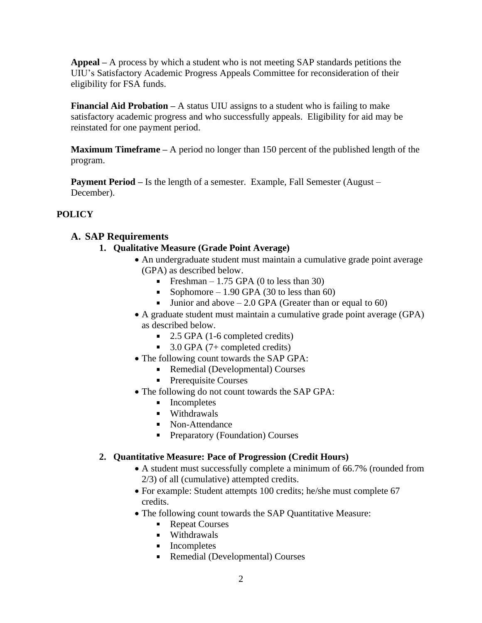**Appeal –** A process by which a student who is not meeting SAP standards petitions the UIU's Satisfactory Academic Progress Appeals Committee for reconsideration of their eligibility for FSA funds.

**Financial Aid Probation –** A status UIU assigns to a student who is failing to make satisfactory academic progress and who successfully appeals. Eligibility for aid may be reinstated for one payment period.

**Maximum Timeframe –** A period no longer than 150 percent of the published length of the program.

**Payment Period** – Is the length of a semester. Example, Fall Semester (August – December).

## **POLICY**

## **A. SAP Requirements**

- **1. Qualitative Measure (Grade Point Average)**
	- An undergraduate student must maintain a cumulative grade point average (GPA) as described below.
		- Freshman 1.75 GPA (0 to less than 30)
		- Sophomore 1.90 GPA (30 to less than 60)
		- **Junior and above 2.0 GPA (Greater than or equal to 60)**
	- A graduate student must maintain a cumulative grade point average (GPA) as described below.
		- $\blacksquare$  2.5 GPA (1-6 completed credits)
		- $\blacksquare$  3.0 GPA (7+ completed credits)
	- The following count towards the SAP GPA:
		- Remedial (Developmental) Courses
		- **Prerequisite Courses**
	- The following do not count towards the SAP GPA:
		- **Incompletes**
		- **Withdrawals**
		- Non-Attendance
		- **Preparatory (Foundation) Courses**

## **2. Quantitative Measure: Pace of Progression (Credit Hours)**

- A student must successfully complete a minimum of 66.7% (rounded from 2/3) of all (cumulative) attempted credits.
- For example: Student attempts 100 credits; he/she must complete 67 credits.
- The following count towards the SAP Quantitative Measure:
	- Repeat Courses
	- **•** Withdrawals
	- **Incompletes**
	- Remedial (Developmental) Courses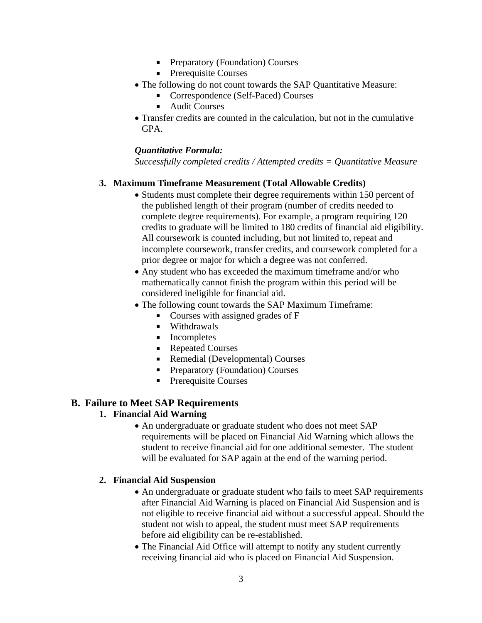- Preparatory (Foundation) Courses
- **Prerequisite Courses**
- The following do not count towards the SAP Quantitative Measure:
	- Correspondence (Self-Paced) Courses
	- $\blacksquare$ Audit Courses
- Transfer credits are counted in the calculation, but not in the cumulative GPA.

#### *Quantitative Formula:*

*Successfully completed credits / Attempted credits = Quantitative Measure*

#### **3. Maximum Timeframe Measurement (Total Allowable Credits)**

- Students must complete their degree requirements within 150 percent of the published length of their program (number of credits needed to complete degree requirements). For example, a program requiring 120 credits to graduate will be limited to 180 credits of financial aid eligibility. All coursework is counted including, but not limited to, repeat and incomplete coursework, transfer credits, and coursework completed for a prior degree or major for which a degree was not conferred.
- Any student who has exceeded the maximum timeframe and/or who mathematically cannot finish the program within this period will be considered ineligible for financial aid.
- The following count towards the SAP Maximum Timeframe:
	- Courses with assigned grades of F
	- **Withdrawals**
	- **Incompletes**
	- Repeated Courses
	- Remedial (Developmental) Courses
	- **Preparatory (Foundation) Courses**
	- Prerequisite Courses  $\mathbf{u}$

## **B. Failure to Meet SAP Requirements**

## **1. Financial Aid Warning**

• An undergraduate or graduate student who does not meet SAP requirements will be placed on Financial Aid Warning which allows the student to receive financial aid for one additional semester. The student will be evaluated for SAP again at the end of the warning period.

## **2. Financial Aid Suspension**

- An undergraduate or graduate student who fails to meet SAP requirements after Financial Aid Warning is placed on Financial Aid Suspension and is not eligible to receive financial aid without a successful appeal. Should the student not wish to appeal, the student must meet SAP requirements before aid eligibility can be re-established.
- The Financial Aid Office will attempt to notify any student currently receiving financial aid who is placed on Financial Aid Suspension.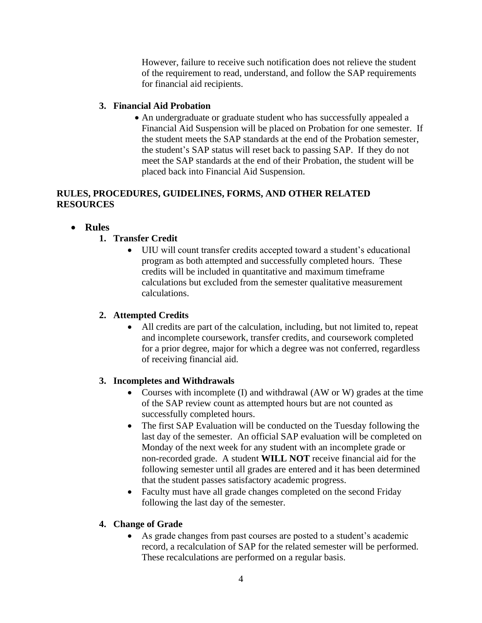However, failure to receive such notification does not relieve the student of the requirement to read, understand, and follow the SAP requirements for financial aid recipients.

### **3. Financial Aid Probation**

• An undergraduate or graduate student who has successfully appealed a Financial Aid Suspension will be placed on Probation for one semester. If the student meets the SAP standards at the end of the Probation semester, the student's SAP status will reset back to passing SAP. If they do not meet the SAP standards at the end of their Probation, the student will be placed back into Financial Aid Suspension.

### **RULES, PROCEDURES, GUIDELINES, FORMS, AND OTHER RELATED RESOURCES**

## • **Rules**

## **1. Transfer Credit**

• UIU will count transfer credits accepted toward a student's educational program as both attempted and successfully completed hours. These credits will be included in quantitative and maximum timeframe calculations but excluded from the semester qualitative measurement calculations.

## **2. Attempted Credits**

• All credits are part of the calculation, including, but not limited to, repeat and incomplete coursework, transfer credits, and coursework completed for a prior degree, major for which a degree was not conferred, regardless of receiving financial aid.

## **3. Incompletes and Withdrawals**

- Courses with incomplete (I) and withdrawal (AW or W) grades at the time of the SAP review count as attempted hours but are not counted as successfully completed hours.
- The first SAP Evaluation will be conducted on the Tuesday following the last day of the semester. An official SAP evaluation will be completed on Monday of the next week for any student with an incomplete grade or non-recorded grade. A student **WILL NOT** receive financial aid for the following semester until all grades are entered and it has been determined that the student passes satisfactory academic progress.
- Faculty must have all grade changes completed on the second Friday following the last day of the semester.

## **4. Change of Grade**

• As grade changes from past courses are posted to a student's academic record, a recalculation of SAP for the related semester will be performed. These recalculations are performed on a regular basis.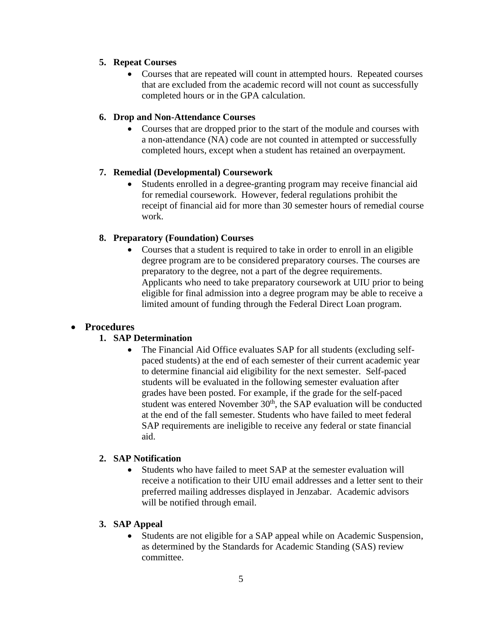### **5. Repeat Courses**

• Courses that are repeated will count in attempted hours. Repeated courses that are excluded from the academic record will not count as successfully completed hours or in the GPA calculation.

#### **6. Drop and Non-Attendance Courses**

• Courses that are dropped prior to the start of the module and courses with a non-attendance (NA) code are not counted in attempted or successfully completed hours, except when a student has retained an overpayment.

#### **7. Remedial (Developmental) Coursework**

• Students enrolled in a degree-granting program may receive financial aid for remedial coursework. However, federal regulations prohibit the receipt of financial aid for more than 30 semester hours of remedial course work.

## **8. Preparatory (Foundation) Courses**

• Courses that a student is required to take in order to enroll in an eligible degree program are to be considered preparatory courses. The courses are preparatory to the degree, not a part of the degree requirements. Applicants who need to take preparatory coursework at UIU prior to being eligible for final admission into a degree program may be able to receive a limited amount of funding through the Federal Direct Loan program.

## • **Procedures**

## **1. SAP Determination**

• The Financial Aid Office evaluates SAP for all students (excluding selfpaced students) at the end of each semester of their current academic year to determine financial aid eligibility for the next semester. Self-paced students will be evaluated in the following semester evaluation after grades have been posted. For example, if the grade for the self-paced student was entered November 30<sup>th</sup>, the SAP evaluation will be conducted at the end of the fall semester. Students who have failed to meet federal SAP requirements are ineligible to receive any federal or state financial aid.

#### **2. SAP Notification**

• Students who have failed to meet SAP at the semester evaluation will receive a notification to their UIU email addresses and a letter sent to their preferred mailing addresses displayed in Jenzabar. Academic advisors will be notified through email.

#### **3. SAP Appeal**

• Students are not eligible for a SAP appeal while on Academic Suspension, as determined by the Standards for Academic Standing (SAS) review committee.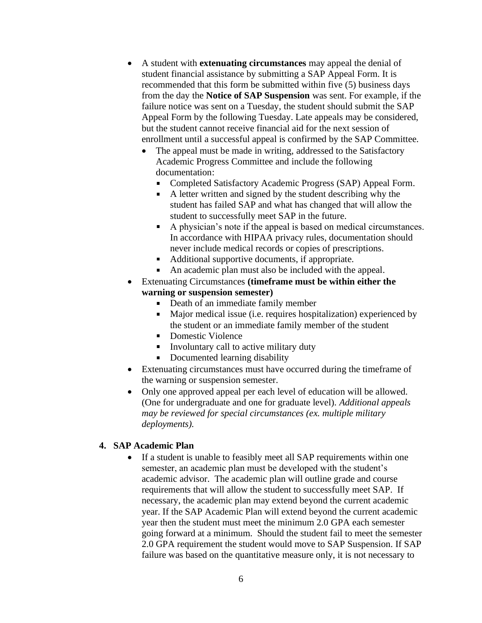- A student with **extenuating circumstances** may appeal the denial of student financial assistance by submitting a SAP Appeal Form. It is recommended that this form be submitted within five (5) business days from the day the **Notice of SAP Suspension** was sent. For example, if the failure notice was sent on a Tuesday, the student should submit the SAP Appeal Form by the following Tuesday. Late appeals may be considered, but the student cannot receive financial aid for the next session of enrollment until a successful appeal is confirmed by the SAP Committee.
	- The appeal must be made in writing, addressed to the Satisfactory Academic Progress Committee and include the following documentation:
		- Completed Satisfactory Academic Progress (SAP) Appeal Form.
		- $\blacksquare$ A letter written and signed by the student describing why the student has failed SAP and what has changed that will allow the student to successfully meet SAP in the future.
		- A physician's note if the appeal is based on medical circumstances. In accordance with HIPAA privacy rules, documentation should never include medical records or copies of prescriptions.
		- Additional supportive documents, if appropriate.
		- An academic plan must also be included with the appeal.  $\blacksquare$
- Extenuating Circumstances **(timeframe must be within either the warning or suspension semester)**
	- Death of an immediate family member  $\mathbf{u}$
	- Major medical issue (i.e. requires hospitalization) experienced by the student or an immediate family member of the student
	- Domestic Violence
	- $\blacksquare$ Involuntary call to active military duty
	- Documented learning disability
- Extenuating circumstances must have occurred during the timeframe of the warning or suspension semester.
- Only one approved appeal per each level of education will be allowed. (One for undergraduate and one for graduate level). *Additional appeals may be reviewed for special circumstances (ex. multiple military deployments).*

#### **4. SAP Academic Plan**

If a student is unable to feasibly meet all SAP requirements within one semester, an academic plan must be developed with the student's academic advisor. The academic plan will outline grade and course requirements that will allow the student to successfully meet SAP. If necessary, the academic plan may extend beyond the current academic year. If the SAP Academic Plan will extend beyond the current academic year then the student must meet the minimum 2.0 GPA each semester going forward at a minimum. Should the student fail to meet the semester 2.0 GPA requirement the student would move to SAP Suspension. If SAP failure was based on the quantitative measure only, it is not necessary to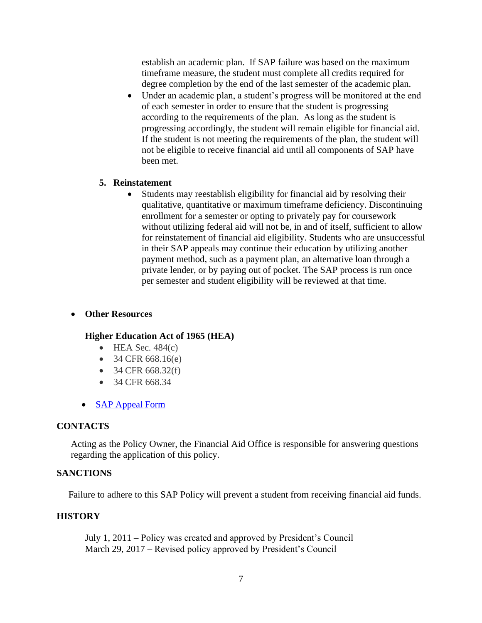establish an academic plan. If SAP failure was based on the maximum timeframe measure, the student must complete all credits required for degree completion by the end of the last semester of the academic plan.

• Under an academic plan, a student's progress will be monitored at the end of each semester in order to ensure that the student is progressing according to the requirements of the plan. As long as the student is progressing accordingly, the student will remain eligible for financial aid. If the student is not meeting the requirements of the plan, the student will not be eligible to receive financial aid until all components of SAP have been met.

#### **5. Reinstatement**

• Students may reestablish eligibility for financial aid by resolving their qualitative, quantitative or maximum timeframe deficiency. Discontinuing enrollment for a semester or opting to privately pay for coursework without utilizing federal aid will not be, in and of itself, sufficient to allow for reinstatement of financial aid eligibility. Students who are unsuccessful in their SAP appeals may continue their education by utilizing another payment method, such as a payment plan, an alternative loan through a private lender, or by paying out of pocket. The SAP process is run once per semester and student eligibility will be reviewed at that time.

#### • **Other Resources**

#### **Higher Education Act of 1965 (HEA)**

- $\bullet$  HEA Sec. 484(c)
- 34 CFR  $668.16(e)$
- $34$  CFR 668.32(f)
- 34 CFR 668.34
- **[SAP Appeal Form](https://uiu.edu/wp-content/uploads/SAP-Appeal-Form-v4.pdf)**

#### **CONTACTS**

Acting as the Policy Owner, the Financial Aid Office is responsible for answering questions regarding the application of this policy.

#### **SANCTIONS**

Failure to adhere to this SAP Policy will prevent a student from receiving financial aid funds.

#### **HISTORY**

July 1, 2011 – Policy was created and approved by President's Council March 29, 2017 – Revised policy approved by President's Council